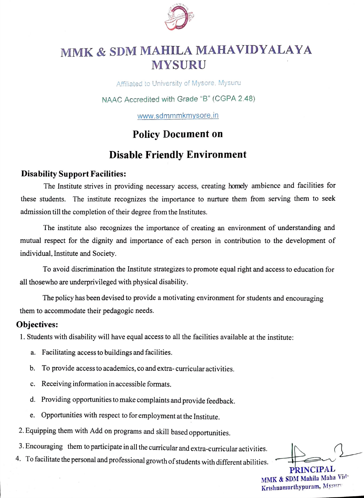

# MMK & SDM MAHILA MAHAVIDYALAYA MYSURU

Affliated to University of Mysore, Mysuru

NAAC Accredited with Grade "B" (CGPA 2.48)

www.sdmmmkmysore.in

## Policy Document on

# Disable Friendly Environment

#### Disability Support Facilities:

The Institute strives in providing necessary access, creating homely ambience and facilities for these students. The institute recognizes the importance to nurture them from serving them to seek admission till the completion of their degree from the Institutes.

The institute also recognizes the importance of creating an environment of understanding and mutual respect for the dignity and importance of each person in contribution to the development of individual, Institute and Society.

To avoid discrimination the Institute strategizes to promote equal right and access to education for all thosewho are underprivileged with physical disability.

The policy has been devised to provide a motivating environment for students and encouraging them to accommodate their pedagogic needs.

### Objectives:

1. Students with disability will have equal access to all the facilities available at the institute:

- a. Facilitating access to buildings and facilities.
- b. To provide access to academics, co and extra-curricular activities.
- c. Receiving information in accessible formats.
- d. Providing opportunities to make complaints and provide feedback.
- e. Opportunities with respect to for employment at the Institute.
- 2. Equipping them with Add on programs and skill based opportunities.
- 3. Encouraging them to participate in all the curricular and extra-curricular activities.
- 4. To facilitate the personal and professional growth of students with different abilities.

PRINCIPAL MMK & SDM Mahila Maha Vid-Krishnamurthypuram, Mysnr